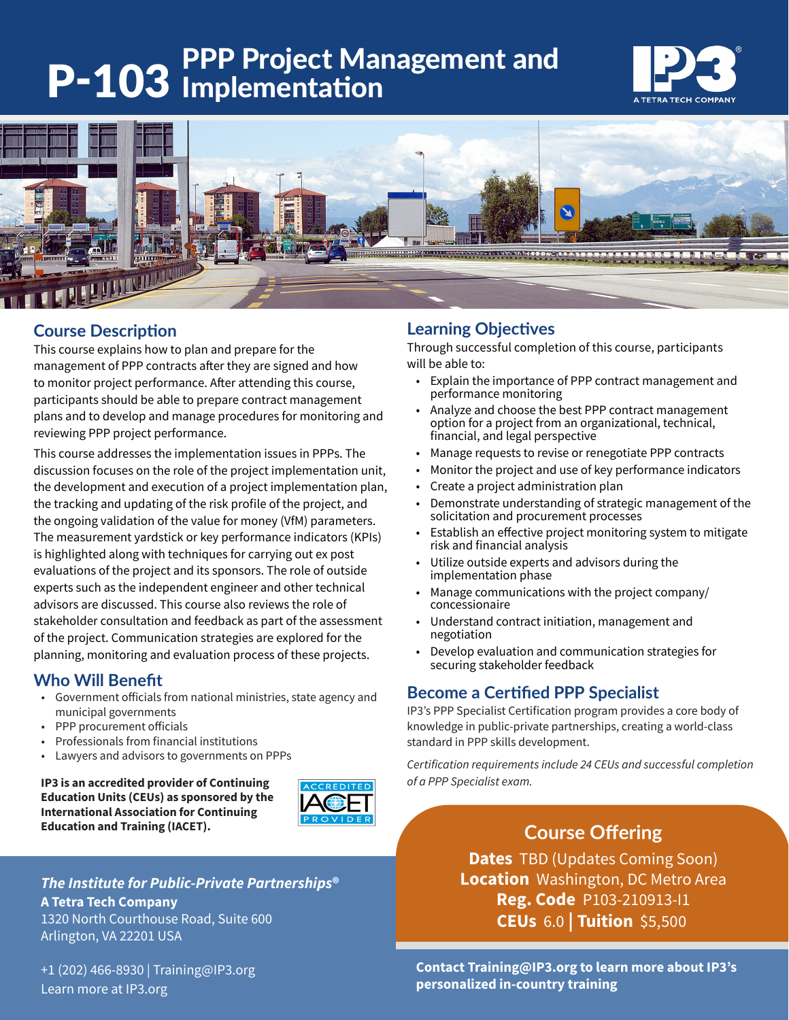# P-103 Implementation<br>
P-103 Implementation





# **Course Description**

This course explains how to plan and prepare for the management of PPP contracts after they are signed and how to monitor project performance. After attending this course, participants should be able to prepare contract management plans and to develop and manage procedures for monitoring and reviewing PPP project performance.

This course addresses the implementation issues in PPPs. The discussion focuses on the role of the project implementation unit, the development and execution of a project implementation plan, the tracking and updating of the risk profile of the project, and the ongoing validation of the value for money (VfM) parameters. The measurement yardstick or key performance indicators (KPIs) is highlighted along with techniques for carrying out ex post evaluations of the project and its sponsors. The role of outside experts such as the independent engineer and other technical advisors are discussed. This course also reviews the role of stakeholder consultation and feedback as part of the assessment of the project. Communication strategies are explored for the planning, monitoring and evaluation process of these projects.

## **Who Will Benefit**

- Government officials from national ministries, state agency and municipal governments
- PPP procurement officials
- Professionals from financial institutions
- Lawyers and advisors to governments on PPPs

**IP3 is an accredited provider of Continuing** *both accretive of a PPP Specialist exam.* **Education Units (CEUs) as sponsored by the International Association for Continuing Education and Training (IACET).**



## *The Institute for Public-Private Partnerships***®**

**A Tetra Tech Company** 1320 North Courthouse Road, Suite 600 Arlington, VA 22201 USA

+1 (202) 466-8930 | Training@IP3.org Learn more at IP3.org

# **Learning Objectives**

Through successful completion of this course, participants will be able to:

- Explain the importance of PPP contract management and performance monitoring
- Analyze and choose the best PPP contract management option for a project from an organizational, technical, financial, and legal perspective
- Manage requests to revise or renegotiate PPP contracts
- Monitor the project and use of key performance indicators
- Create a project administration plan
- Demonstrate understanding of strategic management of the solicitation and procurement processes
- Establish an effective project monitoring system to mitigate risk and financial analysis
- Utilize outside experts and advisors during the implementation phase
- Manage communications with the project company/ concessionaire
- Understand contract initiation, management and negotiation
- Develop evaluation and communication strategies for securing stakeholder feedback

# **Become a Certified PPP Specialist**

IP3's PPP Specialist Certification program provides a core body of knowledge in public-private partnerships, creating a world-class standard in PPP skills development.

*Certification requirements include 24 CEUs and successful completion* 

# **Course Offering**

**Dates** TBD (Updates Coming Soon) **Location** Washington, DC Metro Area **Reg. Code** P103-210913-I1 **CEUs** 6.0 **| Tuition** \$5,500

**Contact Training@IP3.org to learn more about IP3's personalized in-country training**